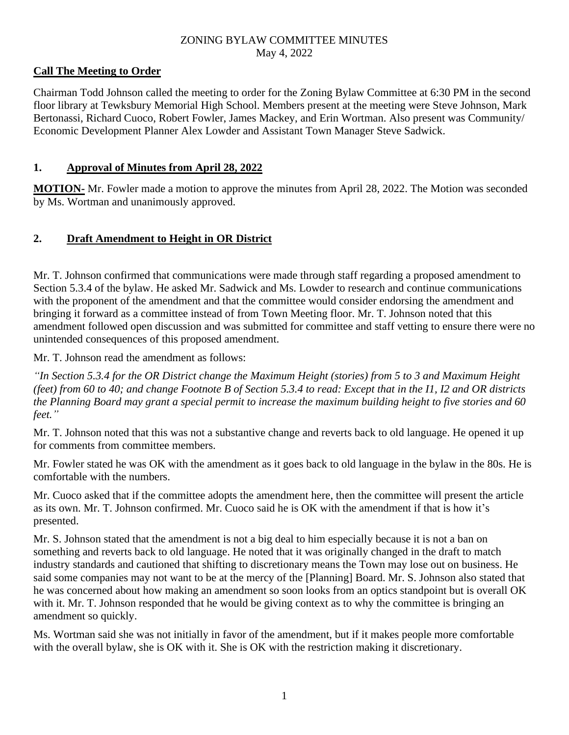### ZONING BYLAW COMMITTEE MINUTES May 4, 2022

## **Call The Meeting to Order**

Chairman Todd Johnson called the meeting to order for the Zoning Bylaw Committee at 6:30 PM in the second floor library at Tewksbury Memorial High School. Members present at the meeting were Steve Johnson, Mark Bertonassi, Richard Cuoco, Robert Fowler, James Mackey, and Erin Wortman. Also present was Community/ Economic Development Planner Alex Lowder and Assistant Town Manager Steve Sadwick.

## **1. Approval of Minutes from April 28, 2022**

**MOTION-** Mr. Fowler made a motion to approve the minutes from April 28, 2022. The Motion was seconded by Ms. Wortman and unanimously approved.

## **2. Draft Amendment to Height in OR District**

Mr. T. Johnson confirmed that communications were made through staff regarding a proposed amendment to Section 5.3.4 of the bylaw. He asked Mr. Sadwick and Ms. Lowder to research and continue communications with the proponent of the amendment and that the committee would consider endorsing the amendment and bringing it forward as a committee instead of from Town Meeting floor. Mr. T. Johnson noted that this amendment followed open discussion and was submitted for committee and staff vetting to ensure there were no unintended consequences of this proposed amendment.

Mr. T. Johnson read the amendment as follows:

*"In Section 5.3.4 for the OR District change the Maximum Height (stories) from 5 to 3 and Maximum Height (feet) from 60 to 40; and change Footnote B of Section 5.3.4 to read: Except that in the I1, I2 and OR districts the Planning Board may grant a special permit to increase the maximum building height to five stories and 60 feet."*

Mr. T. Johnson noted that this was not a substantive change and reverts back to old language. He opened it up for comments from committee members.

Mr. Fowler stated he was OK with the amendment as it goes back to old language in the bylaw in the 80s. He is comfortable with the numbers.

Mr. Cuoco asked that if the committee adopts the amendment here, then the committee will present the article as its own. Mr. T. Johnson confirmed. Mr. Cuoco said he is OK with the amendment if that is how it's presented.

Mr. S. Johnson stated that the amendment is not a big deal to him especially because it is not a ban on something and reverts back to old language. He noted that it was originally changed in the draft to match industry standards and cautioned that shifting to discretionary means the Town may lose out on business. He said some companies may not want to be at the mercy of the [Planning] Board. Mr. S. Johnson also stated that he was concerned about how making an amendment so soon looks from an optics standpoint but is overall OK with it. Mr. T. Johnson responded that he would be giving context as to why the committee is bringing an amendment so quickly.

Ms. Wortman said she was not initially in favor of the amendment, but if it makes people more comfortable with the overall bylaw, she is OK with it. She is OK with the restriction making it discretionary.